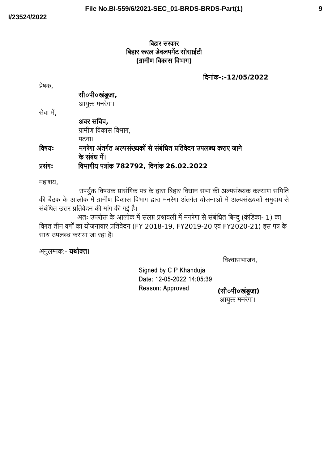# ाबहार सरकार बिहार रूरल डवलपमेंट सांसाइटी **(**ग्रामीण विकास विभाग**)**

बिनांक**-:-12/05/2022**

प्रेषक,

सी०पी०खंडूजा**,**

आयुक्त मनरेगा।

सेवा में,

अवर सचिव**,** ग्रामीण विकास विभाग,

पटना।

# विषय**:** मनरेगा अंतर्गत अल्पसंख्यको से संबधित प्रतिवेदन उपलब्ध कराए जाने के संबंध में।

प्रसंग**:** विभागीय पत्रांक **782792,** बिनांक **26.02.2022**

महाशय,

उपर्युक्त विषयक प्रासंगिक पत्र के द्वारा बिहार विधान सभा की अल्पसंख्यक कल्याण समिति की बैठक के आलोक में ग्रामीण विकास विभाग द्वारा मनरेगा अंतर्गत योजनाओं में अल्पसंख्यकों समुदाय से संबंधित उत्तर प्रतिवेदन की मांग की गई है।

अतः उपरोक्त के आलोक में सलग्न प्रश्नावली में मनरेगा से संबंधित बिन्दु (कडिका- 1) का विगत तीन वर्षों का योजनावार प्रतिवेन (FY 2018-19, FY2019-20 एवं FY2020-21) इस पत्र के साथ उपलब्ध कराया जा रहा है।

अनुलग्नक:- **यथोक्त।** 

विश्वासभाजन,

Signed by C P Khanduja Date: 12-05-2022 14:05:39 Reason: Approved

**(**सी०पी०खंडूजा**)** आयुक्त मनरेगा।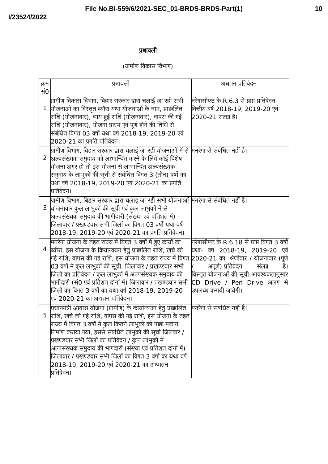# प्रश्नावली

# (ग्रामीण विकास विभाग)

| क्रम<br>सं0  | प्रश्नावली                                                                                                                                                                                                                                                                                                                                                                                                                                                                                          | अधतन प्रतिवेदन                                                                                                                                                                                                                                                        |
|--------------|-----------------------------------------------------------------------------------------------------------------------------------------------------------------------------------------------------------------------------------------------------------------------------------------------------------------------------------------------------------------------------------------------------------------------------------------------------------------------------------------------------|-----------------------------------------------------------------------------------------------------------------------------------------------------------------------------------------------------------------------------------------------------------------------|
| $\mathbf{1}$ | ग्रामीण विकास विभाग, बिहार सरकार द्वारा चलाई जा रही सभी<br>योजनाओं का विस्तृत ब्यौरा यथा योजनाओं के नाम, प्राक्कलित<br>राशि (योजनावार), व्यय हुई राशि (योजनावार), वापस की गई<br>राशि (योजनावार), योजना प्रारंभ एवं पूर्ण होने की तिथि से<br>संबंधित विगत 03 वर्षों यथा वर्ष 2018-19, 2019-20 एवं<br>2020-21 का प्रगति प्रतिवेदन।                                                                                                                                                                    | निरेगासॉफ्ट के R.6.3 से प्राप्त प्रतिवेदन<br>वित्तीय वर्ष 2018-19, 2019-20 एवं<br>2020-21 संलग्न है।                                                                                                                                                                  |
| $\mathbf{2}$ | ध्रामीण विभाग, बिहार सरकार द्वारा चलाई जा रही योजनाओं में से मिनरेगा से संबंधित नहीं है।<br>अल्पसंख्यक समुदाय को लाभान्वित करने के लिये कोई विशेष<br>योजना अगर हो तो इस योजना से लाभान्वित अल्पसंख्यक<br>समुदाय के लाभुकों की सूची से संबंधित विगत 3 (तीन) वर्षों का<br>यथा वर्ष 2018-19, 2019-20 एवं 2020-21 का प्रगति<br>प्रितिवेदन।                                                                                                                                                              |                                                                                                                                                                                                                                                                       |
| 3            | <u>ध्रामीण विभाग, बिहार सरकार द्वारा चलाई जा रही सभी योजनाओं मिनरेगा से संबंधित नहीं है।</u><br>योजनावार कुल लाभुकों की सूची एवं कुल लाभुकों में से<br>अल्पसंख्यक समुदाय की भागीदारी (संख्या एवं प्रतिशत में)<br>जिलावार / प्रखण्डवार सभी जिलों का विगत 03 वर्षों यथा वर्ष<br>$2018$ -19, 2019-20 एवं 2020-21 का प्रगति प्रतिवेदन।                                                                                                                                                                  |                                                                                                                                                                                                                                                                       |
| 4            | मनरेगा योजना के तहत राज्य में विगत 3 वर्षों में हुए कार्यों का<br>ब्यौरा, इस योजना के क्रियान्वयन हेतु प्राक्कलित राशि, खर्च की<br>गई राशि, वापस की गई राशि, इस योजना के तहत राज्य में विगत<br>03 वर्षों में कुल लाभुकों की सूची, जिलावार / प्रखण्डवार सभी<br>जिलों का प्रतिवेदन / कुल लाभुकों में अल्पसंख्यक समुदाय की<br>भागीदारी (सं0 एवं प्रतिशत दोनों में) जिलावार / प्रखण्डवार सभी<br>जिलों का विगत 3 वर्षों का यथा वर्ष 2018-19, 2019-20<br>एवं 2020-21 का अद्यतन प्रतिवेदन।                 | नरेगासॉफ्ट के R.6.18 से प्राप्त विगत 3 वर्षों <br> यथा- वर्ष 2018-19, 2019-20<br>एव<br>2020-21 का श्रेणीवार / योजनावार (पूर्ण<br>अपूर्ण) प्रतिवेदन<br>है।<br>संलग्न<br>विस्तृत योजनाओं की सूची आवश्यकतानुसार <br>CD Drive / Pen Drive अलग से <br>उपलब्ध करायी जायेगी। |
| 5            | प्रधानमंत्री आवास योजना (ग्रामीण) के कार्यान्वयन हेतु प्राक्रलित<br>राशि, खर्च की गई राशि, वापस की गई राशि, इस योजना के तहत<br>राज्य में विगत 3 वर्षों में कुल कितने लाभुकों को पक्का मकान<br>निर्माण कराया गया, इससे संबंधित लाभुकों की सूची जिलवार /<br>प्रखण्डवार सभी जिलों का प्रतिवेदन / कुल लाभुकों में<br>अल्पसंख्यक समुदाय की भागदारी (संख्या एवं प्रतिशत दोनों में)<br>जिलावार / प्रखण्डवार सभी जिलों का विगत 3 वर्षों का यथा वर्ष<br>2018-19, 2019-20 एवं 2020-21 का अध्यतन<br>प्रतिवेदन। | मिनरेगा से संबंधित नहीं है।                                                                                                                                                                                                                                           |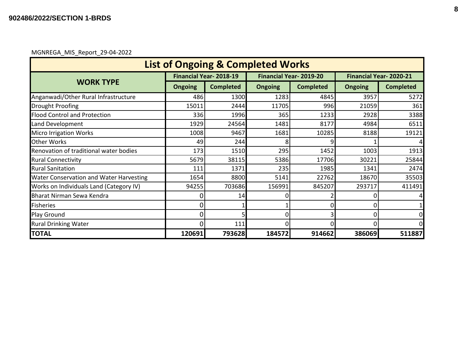#### MGNREGA\_MIS\_Report\_29-04-2022

| <b>List of Ongoing &amp; Completed Works</b> |                |                               |                |                               |                               |                  |  |  |  |  |
|----------------------------------------------|----------------|-------------------------------|----------------|-------------------------------|-------------------------------|------------------|--|--|--|--|
|                                              |                | <b>Financial Year-2018-19</b> |                | <b>Financial Year-2019-20</b> | <b>Financial Year-2020-21</b> |                  |  |  |  |  |
| <b>WORK TYPE</b>                             | <b>Ongoing</b> | <b>Completed</b>              | <b>Ongoing</b> | <b>Completed</b>              | <b>Ongoing</b>                | <b>Completed</b> |  |  |  |  |
| Anganwadi/Other Rural Infrastructure         | 486            | 1300                          | 1283           | 4845                          | 3957                          | 5272             |  |  |  |  |
| Drought Proofing                             | 15011          | 2444                          | 11705          | 996                           | 21059                         | 361              |  |  |  |  |
| <b>Flood Control and Protection</b>          | 336            | 1996                          | 365            | 1233                          | 2928                          | 3388             |  |  |  |  |
| Land Development                             | 1929           | 24564                         | 1481           | 8177                          | 4984                          | 6511             |  |  |  |  |
| <b>Micro Irrigation Works</b>                | 1008           | 9467                          | 1681           | 10285                         | 8188                          | 19121            |  |  |  |  |
| <b>Other Works</b>                           | 49             | 244                           |                |                               |                               |                  |  |  |  |  |
| Renovation of traditional water bodies       | 173            | 1510                          | 295            | 1452                          | 1003                          | 1913             |  |  |  |  |
| <b>Rural Connectivity</b>                    | 5679           | 38115                         | 5386           | 17706                         | 30221                         | 25844            |  |  |  |  |
| <b>Rural Sanitation</b>                      | 111            | 1371                          | 235            | 1985                          | 1341                          | 2474             |  |  |  |  |
| Water Conservation and Water Harvesting      | 1654           | 8800                          | 5141           | 22762                         | 18670                         | 35503            |  |  |  |  |
| Works on Individuals Land (Category IV)      | 94255          | 703686                        | 156991         | 845207                        | 293717                        | 411491           |  |  |  |  |
| Bharat Nirman Sewa Kendra                    |                | 14                            |                |                               |                               |                  |  |  |  |  |
| <b>Fisheries</b>                             | O              |                               |                |                               |                               |                  |  |  |  |  |
| Play Ground                                  | 0              |                               |                |                               |                               | $\overline{0}$   |  |  |  |  |
| <b>Rural Drinking Water</b>                  | 0              | 111                           |                |                               |                               | $\mathbf{0}$     |  |  |  |  |
| <b>TOTAL</b>                                 | 120691         | 793628                        | 184572         | 914662                        | 386069                        | 511887           |  |  |  |  |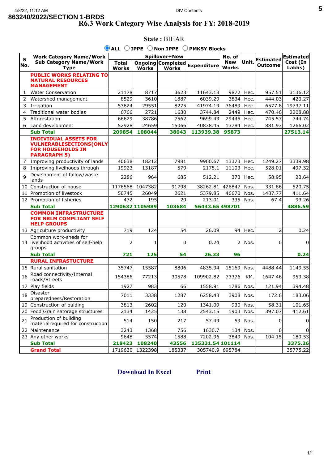### **5**

### **R6.3 Work Category Wise Analysis for FY: 2018-2019**

|              | $\bullet$ ALL $\circ$ IPPE $\circ$<br><b>Non IPPE</b><br><b>PMKSY Blocks</b>                                      |                              |                 |              |                               |                            |            |                                    |                    |  |
|--------------|-------------------------------------------------------------------------------------------------------------------|------------------------------|-----------------|--------------|-------------------------------|----------------------------|------------|------------------------------------|--------------------|--|
| $\mathbf S$  | <b>Work Category Name/Work</b>                                                                                    | Spillover+New                |                 |              |                               | No. of                     |            |                                    | <b>Estimated</b>   |  |
| No.          | <b>Sub Category Name/Work</b><br><b>Type</b>                                                                      | <b>Total</b><br><b>Works</b> | <b>Works</b>    | <b>Works</b> | Ongoing Completed Expenditure | <b>New</b><br><b>Works</b> | Unit.      | <b>Estimated</b><br><b>Outcome</b> | Cost (In<br>Lakhs) |  |
|              | <b>PUBLIC WORKS RELATING TO</b><br><b>NATURAL RESOURCES</b><br><b>MANAGEMENT</b>                                  |                              |                 |              |                               |                            |            |                                    |                    |  |
| 1            | <b>Water Conservation</b>                                                                                         | 21178                        | 8717            | 3623         | 11643.18                      | 9872                       | Hec        | 957.51                             | 3136.12            |  |
| 2            | Watershed management                                                                                              | 8529                         | 3610            | 1887         | 6039.29                       | 3834                       | <b>Hec</b> | 444.03                             | 420.27             |  |
| 3            | Irrigation                                                                                                        | 53824                        | 29551           | 8275         | 41974.19                      | 36489                      | Hec.       | 6577.8                             | 19737.11           |  |
| 4            | Traditional water bodies                                                                                          | 6766                         | 2721            | 1630         | 3744.84                       | 2449                       | <b>Hec</b> | 470.46                             | 2208.88            |  |
| 5            | Afforestation                                                                                                     | 66629                        | 38786           | 7562         | 9699.43                       | 29445                      | Hec        | 745.57                             | 744.74             |  |
| 6            | Land development                                                                                                  | 52928                        | 24659           | 15066        | 40838.45                      | 13784                      | <b>Hec</b> | 881.93                             | 1266.02            |  |
|              | <b>Sub Total</b>                                                                                                  | 209854                       | 108044          | 38043        | 113939.38                     | 95873                      |            |                                    | 27513.14           |  |
|              | <b>INDIVIDUAL ASSETS FOR</b><br><b>VULNERABLESECTIONS(ONLY</b><br><b>FOR HOUSEHOLDS IN</b><br><b>PARAGRAPH 5)</b> |                              |                 |              |                               |                            |            |                                    |                    |  |
| 7            | Improving productivity of lands                                                                                   | 40638                        | 18212           | 7981         | 9900.67                       | 13373                      | Hec.       | 1249.27                            | 3339.98            |  |
| 8            | Improving liveihoods through                                                                                      | 19923                        | 13187           | 579          | 2175.1                        | 11103                      | Hec.       | 528.01                             | 497.32             |  |
| $\mathsf{q}$ | Development of fallow/waste<br>lands                                                                              | 2286                         | 964             | 685          | 512.21                        | 373                        | Hec.       | 58.95                              | 23.64              |  |
| 10           | Construction of house                                                                                             | 1176568                      | 1047382         | 91798        | 38262.81                      | 426847                     | <b>Nos</b> | 331.86                             | 520.75             |  |
| 11           | Promotion of livestock                                                                                            | 50745                        | 26049           | 2621         | 5379.85                       | 46670                      | Nos.       | 1487.77                            | 411.64             |  |
| 12           | Promotion of fisheries                                                                                            | 472                          | 195             | 20           | 213.01                        | 335                        | Nos.       | 67.4                               | 93.26              |  |
|              | <b>Sub Total</b>                                                                                                  | 1290632 1105989              |                 | 103684       | 56443.65498701                |                            |            |                                    | 4886.59            |  |
|              | <b>COMMON INFRASTRUCTURE</b><br><b>FOR NRLM COMPLIANT SELF</b><br><b>HELP GROUPS</b>                              |                              |                 |              |                               |                            |            |                                    |                    |  |
|              | 13 Agriculture productivity                                                                                       | 719                          | 124             | 54           | 26.09                         | 94                         | Hec.       | $\overline{2}$                     | 0.24               |  |
|              | Common work-sheds for<br>14 livelihood activities of self-help<br>groups                                          |                              |                 | 0            | 0.24                          | $\overline{\phantom{a}}$   | Nos.       | 0                                  | 0                  |  |
|              | <b>Sub Total</b>                                                                                                  | 721                          | 125             | 54           | 26.33                         | 96                         |            |                                    | 0.24               |  |
|              | <b>RURAL INFRASTUCTURE</b>                                                                                        |                              |                 |              |                               |                            |            |                                    |                    |  |
|              | 15 Rural sanitation                                                                                               | 35747                        | 15587           | 8806         | 4835.94                       | 15169                      | Nos.       | 4488.44                            | 1149.55            |  |
| 16           | Road connectivity/Internal<br>roads/Streets                                                                       | 154386                       | 77213           | 30578        | 109902.82                     | 73376                      | KM.        | 1647.46                            | 953.38             |  |
| 17           | Play fields                                                                                                       | 1927                         | 983             | 66           | 1558.91                       | 1786                       | Nos        | 121.94                             | 394.48             |  |
| 18           | Disaster<br>preparedness/Restoration                                                                              | 7011                         | 3338            | 1287         | 6258.48                       |                            | 3908 Nos.  | 172.6                              | 183.06             |  |
|              | 19 Construction of bulding                                                                                        | 3813                         | 2602            | 120          | 1341.09                       | 930                        | Nos.       | 58.31                              | 101.65             |  |
|              | 20 Food Grain satorage structures                                                                                 | 2134                         | 1425            | 138          | 2543.15                       | 1903                       | Nos.       | 397.07                             | 412.61             |  |
| 21           | Production of building<br>materialrequired for construction                                                       | 514                          | 150             | 217          | 57.49                         | 59                         | Nos.       | 0                                  | $\overline{0}$     |  |
| 22           | Maintenance                                                                                                       | 3243                         | 1368            | 756          | 1630.7                        | 134                        | Nos.       | $\Omega$                           |                    |  |
|              | 23 Any other works                                                                                                | 9648                         | 5574            | 1588         | 7202.96                       | 3849                       | Nos.       | 104.15                             | 180.53             |  |
|              | <b>Sub Total</b>                                                                                                  | 218423                       | 108240          | 43556        | 135331.54 101114              |                            |            |                                    | 3375.26            |  |
|              | <b>Grand Total</b>                                                                                                |                              | 1719630 1322398 | 185337       | 305740.9 695784               |                            |            |                                    | 35775.22           |  |

## **State :** BIHAR

**[Download In Excel](javascript:__doPostBack() [Print](javascript:window.print())**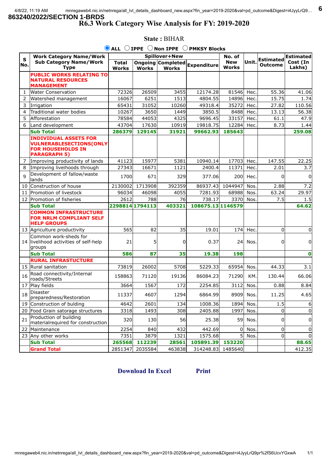## **R6.3 Work Category Wise Analysis for FY: 2019-2020**

|              | $\bullet$ ALL $\circ$ IPPE $\circ$ Non IPPE $\circ$ PMKSY Blocks                                                  |                              |                 |              |                               |                            |            |                                    |                    |  |
|--------------|-------------------------------------------------------------------------------------------------------------------|------------------------------|-----------------|--------------|-------------------------------|----------------------------|------------|------------------------------------|--------------------|--|
| $\mathbf{s}$ | <b>Work Category Name/Work</b>                                                                                    | Spillover+New                |                 |              |                               | No. of                     |            |                                    | <b>Estimated</b>   |  |
| No.          | <b>Sub Category Name/Work</b><br><b>Type</b>                                                                      | <b>Total</b><br><b>Works</b> | <b>Works</b>    | <b>Works</b> | Ongoing Completed Expenditure | <b>New</b><br><b>Works</b> | Unit.      | <b>Estimated</b><br><b>Outcome</b> | Cost (In<br>Lakhs) |  |
|              | <b>PUBLIC WORKS RELATING TO</b><br><b>NATURAL RESOURCES</b><br><b>MANAGEMENT</b>                                  |                              |                 |              |                               |                            |            |                                    |                    |  |
| 1            | <b>Water Conservation</b>                                                                                         | 72326                        | 26509           | 3455         | 12174.28                      | 81546                      | Hec.       | 55.36                              | 41.06              |  |
| 2            | Watershed management                                                                                              | 16067                        | 6251            | 1513         | 4804.55                       | 14896                      | Hec.       | 15.75                              | 1.74               |  |
| 3            | Irrigation                                                                                                        | 65431                        | 31052           | 10260        | 49318.4                       | 35272                      | Hec.       | 27.82                              | 110.56             |  |
| 4            | Traditional water bodies                                                                                          | 10267                        | 3650            | 1449         | 3850.5                        | 8488                       | Hec.       | 13.13                              | 56.38              |  |
| 5            | Afforestation                                                                                                     | 78584                        | 44053           | 4325         | 9696.45                       | 33157                      | Hec.       | 61.1                               | 47.9               |  |
| 6            | Land development                                                                                                  | 43704                        | 17630           | 10919        | 19818.75                      | 12284                      | Hec.       | 8.73                               | 1.44               |  |
|              | <b>Sub Total</b>                                                                                                  | 286379                       | 129145          | 31921        | 99662.93                      | 185643                     |            |                                    | 259.08             |  |
|              | <b>INDIVIDUAL ASSETS FOR</b><br><b>VULNERABLESECTIONS(ONLY</b><br><b>FOR HOUSEHOLDS IN</b><br><b>PARAGRAPH 5)</b> |                              |                 |              |                               |                            |            |                                    |                    |  |
| 7            | Improving productivity of lands                                                                                   | 41123                        | 15977           | 5381         | 10940.14                      | 17703                      | Hec.       | 147.55                             | 22.25              |  |
| 8            | Improving liveihoods through                                                                                      | 27343                        | 16671           | 1121         | 2400.4                        | 11371                      | Hec.       | 2.01                               | 3.7                |  |
| $\mathbf{q}$ | Development of fallow/waste<br>lands                                                                              | 1700                         | 671             | 329          | 377.06                        | 200                        | Hec.       | $\Omega$                           | $\Omega$           |  |
| 10           | Construction of house                                                                                             | 2130002                      | 1713908         | 392359       | 86937.43                      | 1044947                    | <b>Nos</b> | 2.88                               | 7.2                |  |
| 11           | Promotion of livestock                                                                                            | 96034                        | 46098           | 4055         | 7281.93                       | 68988                      | Nos.       | 63.24                              | 29.97              |  |
|              | 12 Promotion of fisheries                                                                                         | 2612                         | 788             | 76           | 738.17                        | 3370                       | Nos.       | 7.5                                | 1.5                |  |
|              | <b>Sub Total</b>                                                                                                  |                              | 2298814 1794113 | 403321       | 108675.13 1146579             |                            |            |                                    | 64.62              |  |
|              | <b>COMMON INFRASTRUCTURE</b><br><b>FOR NRLM COMPLIANT SELF</b><br><b>HELP GROUPS</b>                              |                              |                 |              |                               |                            |            |                                    |                    |  |
|              | 13 Agriculture productivity                                                                                       | 565                          | 82              | 35           | 19.01                         | 174                        | Hec.       | $\mathbf{0}$                       | $\mathbf 0$        |  |
|              | Common work-sheds for<br>14 livelihood activities of self-help<br>groups                                          | 21                           | 5               | 0            | 0.37                          | 24                         | Nos.       | 0                                  | $\mathbf 0$        |  |
|              | <b>Sub Total</b>                                                                                                  | 586                          | 87              | 35           | 19.38                         | 198                        |            |                                    | $\mathbf 0$        |  |
|              | <b>RURAL INFRASTUCTURE</b>                                                                                        |                              |                 |              |                               |                            |            |                                    |                    |  |
|              | 15 Rural sanitation                                                                                               | 73819                        | 26002           | 5708         | 5229.33                       | 65954                      | Nos.       | 44.33                              | 3.1                |  |
| 16           | Road connectivity/Internal<br>roads/Streets                                                                       | 158863                       | 71120           | 19136        | 86084.23                      | 71290                      | KM.        | 130.44                             | 66.06              |  |
| 17           | Play fields                                                                                                       | 3664                         | 1567            | 172          | 2254.85                       | 3112                       | Nos        | 0.88                               | 8.84               |  |
| 18           | <b>Disaster</b><br>preparedness/Restoration                                                                       | 11337                        | 4607            | 1294         | 6864.99                       |                            | 8909 Nos.  | 11.25                              | 4.65               |  |
|              | 19 Construction of bulding                                                                                        | 4642                         | 2601            | 134          | 1008.36                       | 1894                       | Nos.       | 1.5                                | 6                  |  |
|              | 20 Food Grain satorage structures                                                                                 | 3318                         | 1493            | 308          | 2405.88                       | 1997                       | Nos.       | 0                                  | 0                  |  |
| 21           | Production of building<br>materialrequired for construction                                                       | 320                          | 130             | 56           | 25.38                         | 59                         | Nos.       | 0                                  | 0                  |  |
| 22           | Maintenance                                                                                                       | 2254                         | 840             | 432          | 442.69                        | $\mathbf 0$                | Nos.       | 0                                  | 0                  |  |
|              | 23 Any other works                                                                                                | 7351                         | 3879            | 1321         | 1575.68                       | 5 <sup>1</sup>             | Nos.       | 0                                  | 0                  |  |
|              | <b>Sub Total</b>                                                                                                  | 265568                       | 112239          | 28561        | 105891.39                     | 153220                     |            |                                    | 88.65              |  |
|              | <b>Grand Total</b>                                                                                                | 2851347                      | 2035584         | 463838       | 314248.83 1485640             |                            |            |                                    | 412.35             |  |

#### **State :** BIHAR

**[Download In Excel](javascript:__doPostBack() [Print](javascript:window.print())**